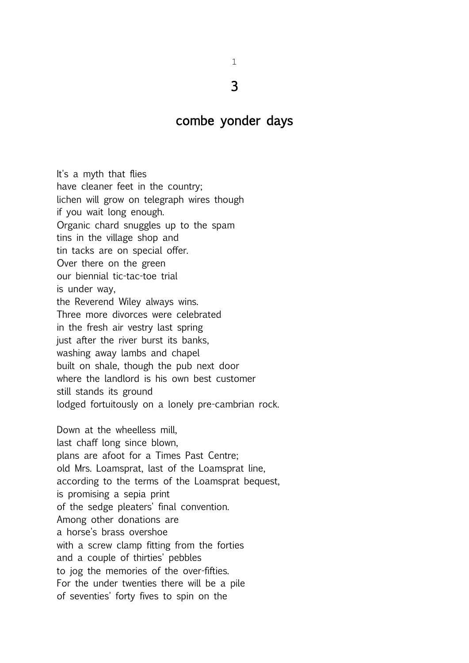## combe yonder days

It's a myth that flies have cleaner feet in the country; lichen will grow on telegraph wires though if you wait long enough. Organic chard snuggles up to the spam tins in the village shop and tin tacks are on special offer. Over there on the green our biennial tic-tac-toe trial is under way, the Reverend Wiley always wins. Three more divorces were celebrated in the fresh air vestry last spring just after the river burst its banks, washing away lambs and chapel built on shale, though the pub next door where the landlord is his own best customer still stands its ground lodged fortuitously on a lonely pre-cambrian rock. Down at the wheelless mill, last chaff long since blown, plans are afoot for a Times Past Centre; old Mrs. Loamsprat, last of the Loamsprat line, according to the terms of the Loamsprat bequest, is promising a sepia print of the sedge pleaters' final convention. Among other donations are a horse's brass overshoe with a screw clamp fitting from the forties and a couple of thirties' pebbles to jog the memories of the over-fifties. For the under twenties there will be a pile of seventies' forty fives to spin on the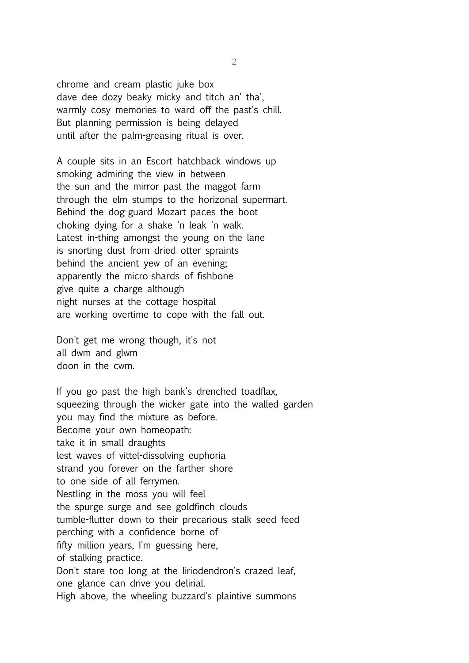chrome and cream plastic juke box dave dee dozy beaky micky and titch an' tha', warmly cosy memories to ward off the past's chill. But planning permission is being delayed until after the palm-greasing ritual is over.

A couple sits in an Escort hatchback windows up smoking admiring the view in between the sun and the mirror past the maggot farm through the elm stumps to the horizonal supermart. Behind the dog-guard Mozart paces the boot choking dying for a shake 'n leak 'n walk. Latest in-thing amongst the young on the lane is snorting dust from dried otter spraints behind the ancient yew of an evening; apparently the micro-shards of fishbone give quite a charge although night nurses at the cottage hospital are working overtime to cope with the fall out.

Don't get me wrong though, it's not all dwm and glwm doon in the cwm.

If you go past the high bank's drenched toadflax, squeezing through the wicker gate into the walled garden you may find the mixture as before. Become your own homeopath: take it in small draughts lest waves of vittel-dissolving euphoria strand you forever on the farther shore to one side of all ferrymen. Nestling in the moss you will feel the spurge surge and see goldfinch clouds tumble-flutter down to their precarious stalk seed feed perching with a confidence borne of fifty million years, I'm guessing here, of stalking practice. Don't stare too long at the liriodendron's crazed leaf, one glance can drive you delirial. High above, the wheeling buzzard's plaintive summons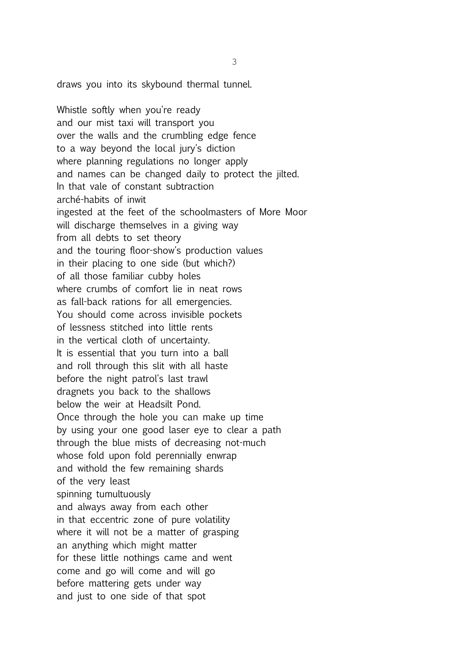draws you into its skybound thermal tunnel.

Whistle softly when you're ready and our mist taxi will transport you over the walls and the crumbling edge fence to a way beyond the local jury's diction where planning regulations no longer apply and names can be changed daily to protect the jilted. In that vale of constant subtraction arché-habits of inwit ingested at the feet of the schoolmasters of More Moor will discharge themselves in a giving way from all debts to set theory and the touring floor-show's production values in their placing to one side (but which?) of all those familiar cubby holes where crumbs of comfort lie in neat rows as fall-back rations for all emergencies. You should come across invisible pockets of lessness stitched into little rents in the vertical cloth of uncertainty. It is essential that you turn into a ball and roll through this slit with all haste before the night patrol's last trawl dragnets you back to the shallows below the weir at Headsilt Pond. Once through the hole you can make up time by using your one good laser eye to clear a path through the blue mists of decreasing not-much whose fold upon fold perennially enwrap and withold the few remaining shards of the very least spinning tumultuously and always away from each other in that eccentric zone of pure volatility where it will not be a matter of grasping an anything which might matter for these little nothings came and went come and go will come and will go before mattering gets under way and just to one side of that spot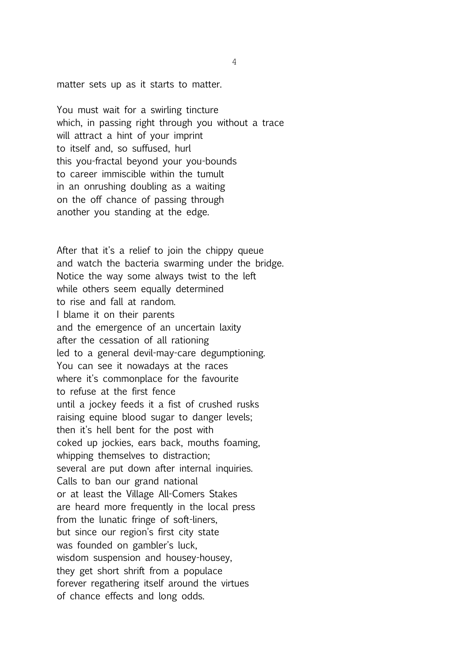matter sets up as it starts to matter.

You must wait for a swirling tincture which, in passing right through you without a trace will attract a hint of your imprint to itself and, so suffused, hurl this you-fractal beyond your you-bounds to career immiscible within the tumult in an onrushing doubling as a waiting on the off chance of passing through another you standing at the edge.

After that it's a relief to join the chippy queue and watch the bacteria swarming under the bridge. Notice the way some always twist to the left while others seem equally determined to rise and fall at random. I blame it on their parents and the emergence of an uncertain laxity after the cessation of all rationing led to a general devil-may-care degumptioning. You can see it nowadays at the races where it's commonplace for the favourite to refuse at the first fence until a jockey feeds it a fist of crushed rusks raising equine blood sugar to danger levels; then it's hell bent for the post with coked up jockies, ears back, mouths foaming, whipping themselves to distraction; several are put down after internal inquiries. Calls to ban our grand national or at least the Village All-Comers Stakes are heard more frequently in the local press from the lunatic fringe of soft-liners, but since our region's first city state was founded on gambler's luck, wisdom suspension and housey-housey, they get short shrift from a populace forever regathering itself around the virtues of chance effects and long odds.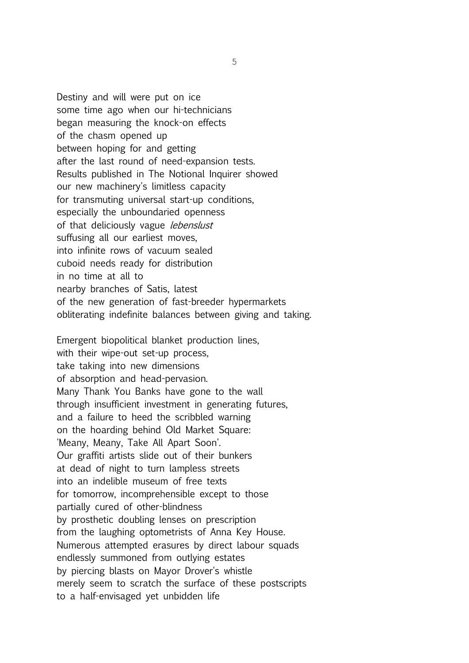Destiny and will were put on ice some time ago when our hi-technicians began measuring the knock-on effects of the chasm opened up between hoping for and getting after the last round of need-expansion tests. Results published in The Notional Inquirer showed our new machinery's limitless capacity for transmuting universal start-up conditions, especially the unboundaried openness of that deliciously vague lebenslust suffusing all our earliest moves, into infinite rows of vacuum sealed cuboid needs ready for distribution in no time at all to nearby branches of Satis, latest of the new generation of fast-breeder hypermarkets obliterating indefinite balances between giving and taking.

Emergent biopolitical blanket production lines, with their wipe-out set-up process, take taking into new dimensions of absorption and head-pervasion. Many Thank You Banks have gone to the wall through insufficient investment in generating futures, and a failure to heed the scribbled warning on the hoarding behind Old Market Square: 'Meany, Meany, Take All Apart Soon'. Our graffiti artists slide out of their bunkers at dead of night to turn lampless streets into an indelible museum of free texts for tomorrow, incomprehensible except to those partially cured of other-blindness by prosthetic doubling lenses on prescription from the laughing optometrists of Anna Key House. Numerous attempted erasures by direct labour squads endlessly summoned from outlying estates by piercing blasts on Mayor Drover's whistle merely seem to scratch the surface of these postscripts to a half-envisaged yet unbidden life